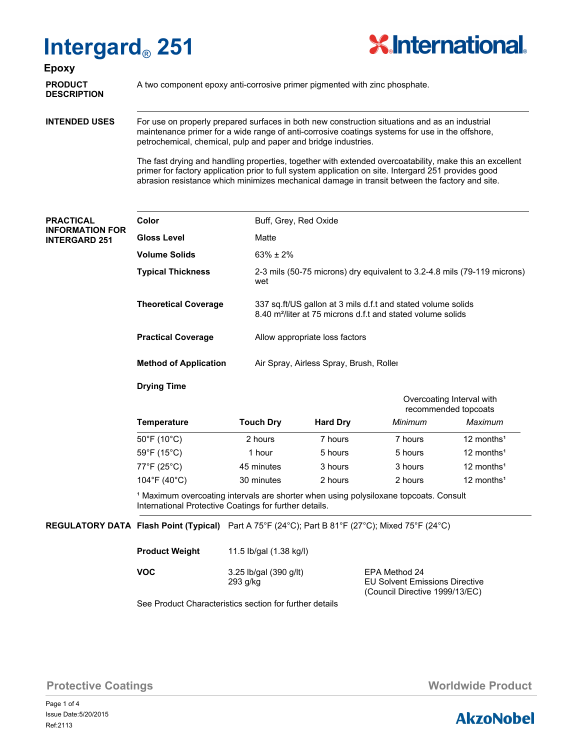# **Intergard**® **251**



**Epoxy**

**DESCRIPTION**

**PRODUCT** A two component epoxy anti-corrosive primer pigmented with zinc phosphate.

**INTENDED USES**

For use on properly prepared surfaces in both new construction situations and as an industrial maintenance primer for a wide range of anti-corrosive coatings systems for use in the offshore, petrochemical, chemical, pulp and paper and bridge industries.

The fast drying and handling properties, together with extended overcoatability, make this an excellent primer for factory application prior to full system application on site. Intergard 251 provides good abrasion resistance which minimizes mechanical damage in transit between the factory and site.

#### **PRACTICAL INFORMATION FOR INTERGARD 251**

| Color                        | Buff, Grey, Red Oxide                                                                                                                   |
|------------------------------|-----------------------------------------------------------------------------------------------------------------------------------------|
| Gloss Level                  | Matte                                                                                                                                   |
| Volume Solids                | $63\% \pm 2\%$                                                                                                                          |
| <b>Typical Thickness</b>     | 2-3 mils (50-75 microns) dry equivalent to 3.2-4.8 mils (79-119 microns)<br>wet                                                         |
| <b>Theoretical Coverage</b>  | 337 sq.ft/US gallon at 3 mils d.f.t and stated volume solids<br>8.40 m <sup>2</sup> /liter at 75 microns d.f.t and stated volume solids |
| <b>Practical Coverage</b>    | Allow appropriate loss factors                                                                                                          |
| <b>Method of Application</b> | Air Spray, Airless Spray, Brush, Roller                                                                                                 |
|                              |                                                                                                                                         |

## **Drying Time**

|                                  |                  |                 | Overcoating Interval with<br>recommended topcoats |                          |  |  |
|----------------------------------|------------------|-----------------|---------------------------------------------------|--------------------------|--|--|
| <b>Temperature</b>               | <b>Touch Dry</b> | <b>Hard Dry</b> | Minimum                                           | Maximum                  |  |  |
| $50^{\circ}$ F (10 $^{\circ}$ C) | 2 hours          | 7 hours         | 7 hours                                           | $12$ months <sup>1</sup> |  |  |
| 59°F (15°C)                      | 1 hour           | 5 hours         | 5 hours                                           | 12 months <sup>1</sup>   |  |  |
| 77°F (25°C)                      | 45 minutes       | 3 hours         | 3 hours                                           | 12 months <sup>1</sup>   |  |  |
| 104°F (40°C)                     | 30 minutes       | 2 hours         | 2 hours                                           | 12 months <sup>1</sup>   |  |  |

<sup>1</sup> Maximum overcoating intervals are shorter when using polysiloxane topcoats. Consult International Protective Coatings for further details.

### **REGULATORY DATA Flash Point (Typical)** Part A 75°F (24°C); Part B 81°F (27°C); Mixed 75°F (24°C)

| <b>Product Weight</b> | 11.5 lb/gal (1.38 kg/l)             |
|-----------------------|-------------------------------------|
| <b>VOC</b>            | 3.25 lb/gal (390 g/lt)<br>$203 \pi$ |

EPA Method 24 293 g/kg EU Solvent Emissions Directive (Council Directive 1999/13/EC)

See Product Characteristics section for further details

**Protective Coatings Music Coatings** *Worldwide Product* 

Page 1 of 4 Ref:2113 Issue Date:5/20/2015

# **AkzoNobel**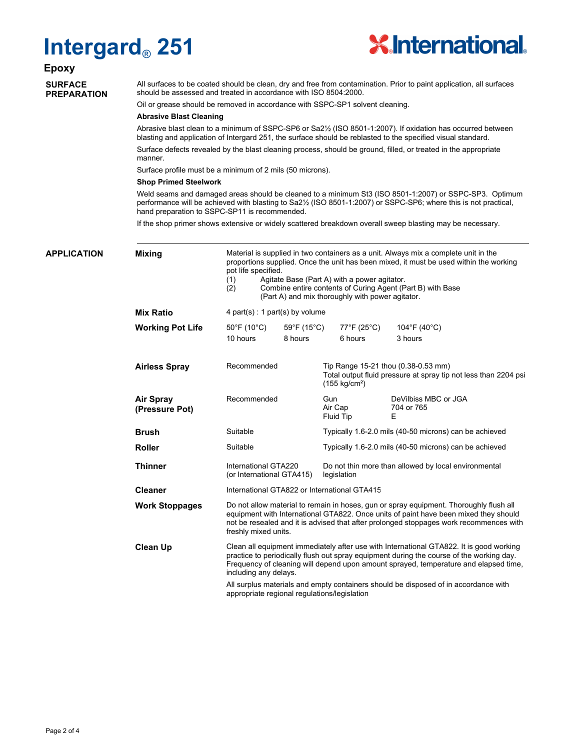# **Intergard**® **251**



# **Epoxy**

### **SURFACE PREPARATION**

All surfaces to be coated should be clean, dry and free from contamination. Prior to paint application, all surfaces should be assessed and treated in accordance with ISO 8504:2000.

Oil or grease should be removed in accordance with SSPC-SP1 solvent cleaning.

#### **Abrasive Blast Cleaning**

Abrasive blast clean to a minimum of SSPC-SP6 or Sa2½ (ISO 8501-1:2007). If oxidation has occurred between blasting and application of Intergard 251, the surface should be reblasted to the specified visual standard.

Surface defects revealed by the blast cleaning process, should be ground, filled, or treated in the appropriate manner.

Surface profile must be a minimum of 2 mils (50 microns).

#### **Shop Primed Steelwork**

Weld seams and damaged areas should be cleaned to a minimum St3 (ISO 8501-1:2007) or SSPC-SP3. Optimum performance will be achieved with blasting to Sa2½ (ISO 8501-1:2007) or SSPC-SP6; where this is not practical, hand preparation to SSPC-SP11 is recommended.

If the shop primer shows extensive or widely scattered breakdown overall sweep blasting may be necessary.

| <b>APPLICATION</b>                                                                                                                                                                                                                                                                                                                                                                                                                                             | <b>Mixing</b>                      | (1)<br>(2)                                                                                                                                                                                                                                                                                       | Material is supplied in two containers as a unit. Always mix a complete unit in the<br>proportions supplied. Once the unit has been mixed, it must be used within the working<br>pot life specified.<br>Agitate Base (Part A) with a power agitator.<br>Combine entire contents of Curing Agent (Part B) with Base<br>(Part A) and mix thoroughly with power agitator. |                                                                                                                                   |                                         |  |  |  |
|----------------------------------------------------------------------------------------------------------------------------------------------------------------------------------------------------------------------------------------------------------------------------------------------------------------------------------------------------------------------------------------------------------------------------------------------------------------|------------------------------------|--------------------------------------------------------------------------------------------------------------------------------------------------------------------------------------------------------------------------------------------------------------------------------------------------|------------------------------------------------------------------------------------------------------------------------------------------------------------------------------------------------------------------------------------------------------------------------------------------------------------------------------------------------------------------------|-----------------------------------------------------------------------------------------------------------------------------------|-----------------------------------------|--|--|--|
|                                                                                                                                                                                                                                                                                                                                                                                                                                                                | <b>Mix Ratio</b>                   | 4 part(s) : 1 part(s) by volume                                                                                                                                                                                                                                                                  |                                                                                                                                                                                                                                                                                                                                                                        |                                                                                                                                   |                                         |  |  |  |
|                                                                                                                                                                                                                                                                                                                                                                                                                                                                | <b>Working Pot Life</b>            | $50^{\circ}$ F (10 $^{\circ}$ C)<br>10 hours                                                                                                                                                                                                                                                     | 59°F (15°C)<br>8 hours                                                                                                                                                                                                                                                                                                                                                 | 77°F (25°C)<br>6 hours                                                                                                            | 104°F (40°C)<br>3 hours                 |  |  |  |
|                                                                                                                                                                                                                                                                                                                                                                                                                                                                | <b>Airless Spray</b>               | Recommended                                                                                                                                                                                                                                                                                      |                                                                                                                                                                                                                                                                                                                                                                        | Tip Range 15-21 thou (0.38-0.53 mm)<br>Total output fluid pressure at spray tip not less than 2204 psi<br>$(155 \text{ kg/cm}^2)$ |                                         |  |  |  |
|                                                                                                                                                                                                                                                                                                                                                                                                                                                                | <b>Air Spray</b><br>(Pressure Pot) | Recommended                                                                                                                                                                                                                                                                                      |                                                                                                                                                                                                                                                                                                                                                                        | Gun<br>Air Cap<br>Fluid Tip                                                                                                       | DeVilbiss MBC or JGA<br>704 or 765<br>Ε |  |  |  |
|                                                                                                                                                                                                                                                                                                                                                                                                                                                                | <b>Brush</b>                       | Suitable<br>Suitable                                                                                                                                                                                                                                                                             |                                                                                                                                                                                                                                                                                                                                                                        | Typically 1.6-2.0 mils (40-50 microns) can be achieved                                                                            |                                         |  |  |  |
|                                                                                                                                                                                                                                                                                                                                                                                                                                                                | <b>Roller</b>                      |                                                                                                                                                                                                                                                                                                  |                                                                                                                                                                                                                                                                                                                                                                        | Typically 1.6-2.0 mils (40-50 microns) can be achieved                                                                            |                                         |  |  |  |
|                                                                                                                                                                                                                                                                                                                                                                                                                                                                | <b>Thinner</b>                     | International GTA220<br>(or International GTA415)                                                                                                                                                                                                                                                |                                                                                                                                                                                                                                                                                                                                                                        | Do not thin more than allowed by local environmental<br>legislation                                                               |                                         |  |  |  |
|                                                                                                                                                                                                                                                                                                                                                                                                                                                                | <b>Cleaner</b>                     |                                                                                                                                                                                                                                                                                                  | International GTA822 or International GTA415                                                                                                                                                                                                                                                                                                                           |                                                                                                                                   |                                         |  |  |  |
|                                                                                                                                                                                                                                                                                                                                                                                                                                                                | <b>Work Stoppages</b>              | Do not allow material to remain in hoses, gun or spray equipment. Thoroughly flush all<br>equipment with International GTA822. Once units of paint have been mixed they should<br>not be resealed and it is advised that after prolonged stoppages work recommences with<br>freshly mixed units. |                                                                                                                                                                                                                                                                                                                                                                        |                                                                                                                                   |                                         |  |  |  |
| <b>Clean Up</b><br>Clean all equipment immediately after use with International GTA822. It is good working<br>practice to periodically flush out spray equipment during the course of the working day.<br>Frequency of cleaning will depend upon amount sprayed, temperature and elapsed time,<br>including any delays.<br>All surplus materials and empty containers should be disposed of in accordance with<br>appropriate regional regulations/legislation |                                    |                                                                                                                                                                                                                                                                                                  |                                                                                                                                                                                                                                                                                                                                                                        |                                                                                                                                   |                                         |  |  |  |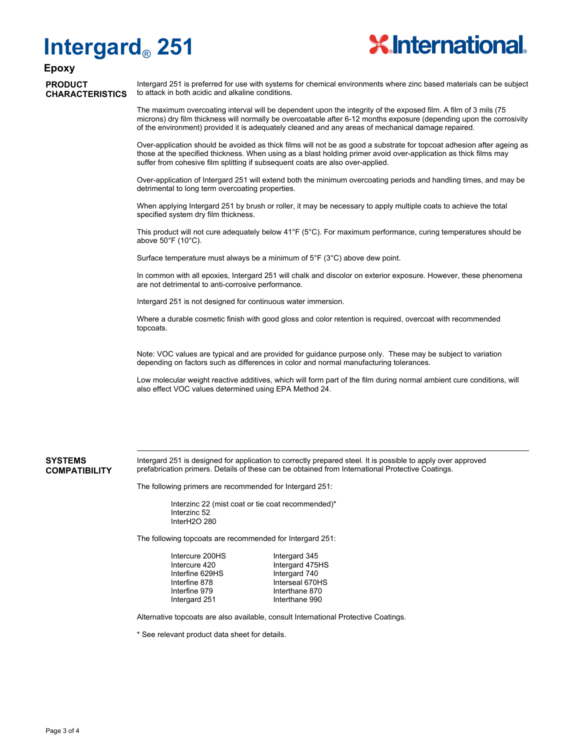# **Intergard**® **251**



# **Epoxy**

**PRODUCT CHARACTERISTICS**

Intergard 251 is preferred for use with systems for chemical environments where zinc based materials can be subject to attack in both acidic and alkaline conditions.

The maximum overcoating interval will be dependent upon the integrity of the exposed film. A film of 3 mils (75 microns) dry film thickness will normally be overcoatable after 6-12 months exposure (depending upon the corrosivity of the environment) provided it is adequately cleaned and any areas of mechanical damage repaired.

Over-application should be avoided as thick films will not be as good a substrate for topcoat adhesion after ageing as those at the specified thickness. When using as a blast holding primer avoid over-application as thick films may suffer from cohesive film splitting if subsequent coats are also over-applied.

Over-application of Intergard 251 will extend both the minimum overcoating periods and handling times, and may be detrimental to long term overcoating properties.

When applying Intergard 251 by brush or roller, it may be necessary to apply multiple coats to achieve the total specified system dry film thickness.

This product will not cure adequately below  $41^{\circ}F$  (5°C). For maximum performance, curing temperatures should be above 50°F (10°C).

Surface temperature must always be a minimum of 5°F (3°C) above dew point.

In common with all epoxies, Intergard 251 will chalk and discolor on exterior exposure. However, these phenomena are not detrimental to anti-corrosive performance.

Intergard 251 is not designed for continuous water immersion.

Where a durable cosmetic finish with good gloss and color retention is required, overcoat with recommended topcoats.

Note: VOC values are typical and are provided for guidance purpose only. These may be subject to variation depending on factors such as differences in color and normal manufacturing tolerances.

Low molecular weight reactive additives, which will form part of the film during normal ambient cure conditions, will also effect VOC values determined using EPA Method 24.

#### **SYSTEMS COMPATIBILITY**

Intergard 251 is designed for application to correctly prepared steel. It is possible to apply over approved prefabrication primers. Details of these can be obtained from International Protective Coatings.

The following primers are recommended for Intergard 251:

Interzinc 22 (mist coat or tie coat recommended)\* Interzinc 52 InterH2O 280

The following topcoats are recommended for Intergard 251:

| Intercure 200HS |
|-----------------|
| Intercure 420   |
| Interfine 629HS |
| Interfine 878   |
| Interfine 979   |
| Intergard 251   |
|                 |

Intergard 345 Intergard 475HS Intergard 740 Interseal 670HS Interthane 870 Interthane 990

Alternative topcoats are also available, consult International Protective Coatings.

\* See relevant product data sheet for details.